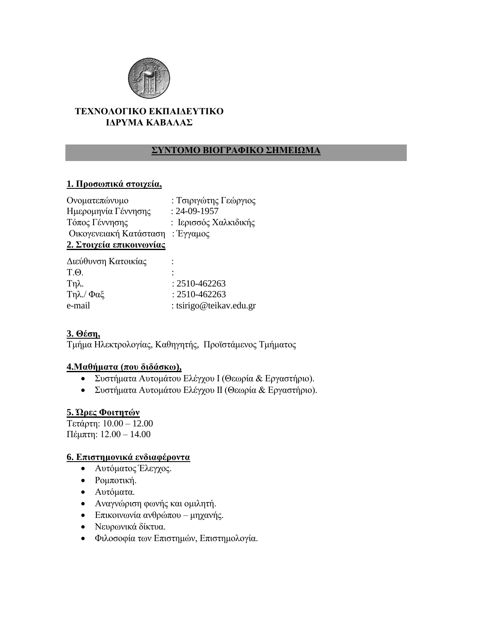

### **ΤΕΧΝΟΛΟΓΙΚΟ ΕΚΠΑΙΔΕΥΤΙΚΟ** ΙΔΡΥΜΑ ΚΑΒΑΛΑΣ

## ΣΥΝΤΟΜΟ ΒΙΟΓΡΑΦΙΚΟ ΣΗΜΕΙΩΜΑ

### **1. Προσωπικά στοιχεία,**

| Ονοματεπώνυμο            | : Τσιριγώτης Γεώργιος |
|--------------------------|-----------------------|
| Ημερομηνία Γέννησης      | $: 24 - 09 - 1957$    |
| Τόπος Γέννησης           | : Ιερισσός Χαλκιδικής |
| Οικογενειακή Κατάσταση   | : Έγγαμος             |
| 2. Στοιχεία επικοινωνίας |                       |
|                          |                       |

| Διεύθυνση Κατοικίας |                         |
|---------------------|-------------------------|
| T Q                 |                         |
| $Tηλ$ .             | $: 2510 - 462263$       |
| Τηλ./ Φαξ           | $: 2510 - 462263$       |
| e-mail              | : tsirigo@teikav.edu.gr |

# **3. Θέζη,**

Τμήμα Ηλεκτρολογίας, Καθηγητής, Προϊστάμενος Τμήματος

#### **4.Μαθήμαηα (ποσ διδάζκω),**

- Συστήματα Αυτομάτου Ελέγχου Ι (Θεωρία & Εργαστήριο).
- Συστήματα Αυτομάτου Ελέγχου ΙΙ (Θεωρία & Εργαστήριο).

### **5. Ώρες Φοιηηηών**

Σεηάπηη: 10.00 – 12.00 Πέμπηη: 12.00 – 14.00

### **6.** Επιστημονικά ενδιαφέροντα

- Αυτόματος Έλεγχος.
- Ρομποτική.
- **-** Αυτόματα.
- Αναγνώριση φωνής και ομιλητή.
- Επικοινωνία ανθρώπου μηχανής.
- Νευρωνικά δίκτυα.
- Φιλοσοφία των Επιστημών, Επιστημολογία.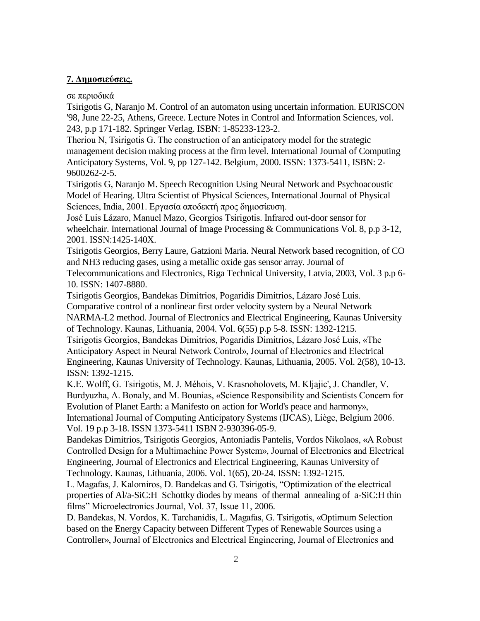#### 7. Δημοσιεύσεις.

σε περιοδικά

Tsirigotis G, Naranjo M. Control of an automaton using uncertain information. EURISCON '98, June 22-25, Athens, Greece. Lecture Notes in Control and Information Sciences, vol. 243, p.p 171-182. Springer Verlag. ISBN: 1-85233-123-2.

Theriou N, Tsirigotis G. The construction of an anticipatory model for the strategic management decision making process at the firm level. International Journal of Computing Anticipatory Systems, Vol. 9, pp 127-142. Belgium, 2000. ISSN: 1373-5411, ISBN: 2- 9600262-2-5.

Tsirigotis G, Naranjo M. Speech Recognition Using Neural Network and Psychoacoustic Model of Hearing. Ultra Scientist of Physical Sciences, International Journal of Physical Sciences, India, 2001. Εργασία αποδεκτή προς δημοσίευση.

José Luis Lázaro, Manuel Mazo, Georgios Tsirigotis. Infrared out-door sensor for wheelchair. International Journal of Image Processing & Communications Vol. 8, p.p 3-12, 2001. ISSN:1425-140X.

Tsirigotis Georgios, Berry Laure, Gatzioni Maria. Neural Network based recognition, of CO and NH3 reducing gases, using a metallic oxide gas sensor array. Journal of Telecommunications and Electronics, Riga Technical University, Latvia, 2003, Vol. 3 p.p 6- 10. ISSN: 1407-8880.

Tsirigotis Georgios, Bandekas Dimitrios, Pogaridis Dimitrios, Lázaro José Luis. Comparative control of a nonlinear first order velocity system by a Neural Network NARMA-L2 method. Journal of Electronics and Electrical Engineering, Kaunas University of Technology. Kaunas, Lithuania, 2004. Vol. 6(55) p.p 5-8. ISSN: 1392-1215.

Tsirigotis Georgios, Bandekas Dimitrios, Pogaridis Dimitrios, Lázaro José Luis, «The Anticipatory Aspect in Neural Network Control», Journal of Electronics and Electrical Engineering, Kaunas University of Technology. Kaunas, Lithuania, 2005. Vol. 2(58), 10-13. ISSN: 1392-1215.

K.E. Wolff, G. Tsirigotis, M. J. Méhois, V. Krasnoholovets, M. Kljajic', J. Chandler, V. Burdyuzha, A. Bonaly, and M. Bounias, «Science Responsibility and Scientists Concern for Evolution of Planet Earth: a Manifesto on action for World's peace and harmony», International Journal of Computing Anticipatory Systems (IJCAS), Liège, Belgium 2006. Vol. 19 p.p 3-18. ISSN 1373-5411 ISBN 2-930396-05-9.

Bandekas Dimitrios, Tsirigotis Georgios, Antoniadis Pantelis, Vordos Nikolaos, «A Robust Controlled Design for a Multimachine Power System», Journal of Electronics and Electrical Engineering, Journal of Electronics and Electrical Engineering, Kaunas University of Technology. Kaunas, Lithuania, 2006. Vol. 1(65), 20-24. ISSN: 1392-1215.

L. Magafas, J. Kalomiros, D. Bandekas and G. Tsirigotis, "Optimization of the electrical properties of Al/a-SiC:H Schottky diodes by means of thermal annealing of a-SiC:H thin films" Microelectronics Journal, Vol. 37, Issue 11, 2006.

D. Bandekas, N. Vordos, K. Tarchanidis, L. Magafas, G. Tsirigotis, [«Optimum Selection](http://internet.ktu.lt/lt/mokslas/zurnalai/elektr/z80/02_ISSN_1392-1215_Optimum%20Selection%20based%20on%20the%20Energy%20Capacity.pdf)  [based on the Energy Capacity between Different Types of Renewable Sources using a](http://internet.ktu.lt/lt/mokslas/zurnalai/elektr/z80/02_ISSN_1392-1215_Optimum%20Selection%20based%20on%20the%20Energy%20Capacity.pdf)  [Controller»](http://internet.ktu.lt/lt/mokslas/zurnalai/elektr/z80/02_ISSN_1392-1215_Optimum%20Selection%20based%20on%20the%20Energy%20Capacity.pdf), Journal of Electronics and Electrical Engineering, Journal of Electronics and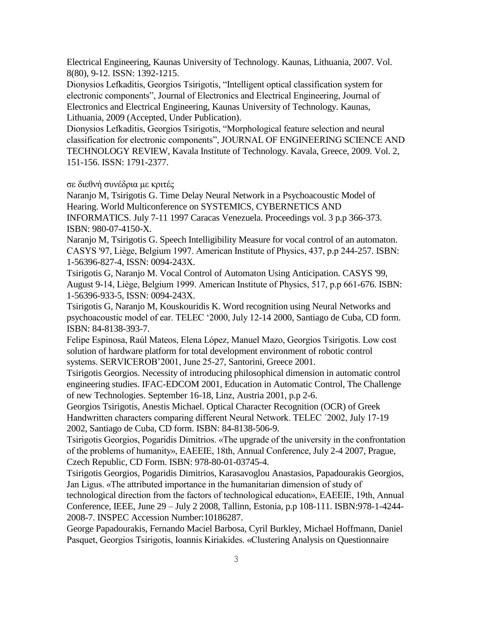Electrical Engineering, Kaunas University of Technology. Kaunas, Lithuania, 2007. Vol. 8(80), 9-12. ISSN: 1392-1215.

Dionysios Lefkaditis, Georgios Tsirigotis, "Intelligent optical classification system for electronic components", Journal of Electronics and Electrical Engineering, Journal of Electronics and Electrical Engineering, Kaunas University of Technology. Kaunas, Lithuania, 2009 (Accepted, Under Publication).

Dionysios Lefkaditis, Georgios Tsirigotis, "Morphological feature selection and neural classification for electronic components", JOURNAL OF ENGINEERING SCIENCE AND TECHNOLOGY REVIEW, Kavala Institute of Technology. Kavala, Greece, 2009. Vol. 2, 151-156. ISSN: 1791-2377.

σε διεθνή συνέδρια με κριτές

Naranjo M, Tsirigotis G. Time Delay Neural Network in a Psychoacoustic Model of Hearing. World Multiconference on SYSTEMICS, CYBERNETICS AND

INFORMATICS. July 7-11 1997 Caracas Venezuela. Proceedings vol. 3 p.p 366-373. ISBN: 980-07-4150-X.

Naranjo M, Tsirigotis G. Speech Intelligibility Measure for vocal control of an automaton. CASYS '97, Liège, Belgium 1997. American Institute of Physics, 437, p.p 244-257. ISBN: 1-56396-827-4, ISSN: 0094-243X.

Tsirigotis G, Naranjo M. Vocal Control of Automaton Using Anticipation. CASYS '99, August 9-14, Liège, Belgium 1999. American Institute of Physics, 517, p.p 661-676. ISBN: 1-56396-933-5, ISSN: 0094-243X.

Tsirigotis G, Naranjo M, Kouskouridis K. Word recognition using Neural Networks and psychoacoustic model of ear. TELEC "2000, July 12-14 2000, Santiago de Cuba, CD form. ISBN: 84-8138-393-7.

Felipe Espinosa, Raúl Mateos, Elena López, Manuel Mazo, Georgios Tsirigotis. Low cost solution of hardware platform for total development environment of robotic control systems. SERVICEROB"2001, June 25-27, Santorini, Greece 2001.

Tsirigotis Georgios. Necessity of introducing philosophical dimension in automatic control engineering studies. IFAC-EDCOM 2001, Education in Automatic Control, The Challenge of new Technologies. September 16-18, Linz, Austria 2001, p.p 2-6.

Georgios Tsirigotis, Anestis Michael. Optical Character Recognition (OCR) of Greek Handwritten characters comparing different Neural Network. TELEC ´2002, July 17-19 2002, Santiago de Cuba, CD form. ISBN: 84-8138-506-9.

Tsirigotis Georgios, Pogaridis Dimitrios. «The upgrade of the university in the confrontation of the problems of humanity», EAEEIE, 18th, Annual Conference, July 2-4 2007, Prague, Czech Republic, CD Form. ISBN: 978-80-01-03745-4.

Tsirigotis Georgios, Pogaridis Dimitrios, Karasavoglou Anastasios, Papadourakis Georgios, Jan Ligus. «The attributed importance in the humanitarian dimension of study of technological direction from the factors of technological education», EAEEIE, 19th, Annual Conference, IEEE, June 29 – July 2 2008, Tallinn, Estonia, p.p 108-111. ISBN:978-1-4244- 2008-7. INSPEC Accession Number:10186287.

George Papadourakis, Fernando Maciel Barbosa, Cyril Burkley, Michael Hoffmann, Daniel Pasquet, Georgios Tsirigotis, Ioannis Kiriakides. «Clustering Analysis on Questionnaire